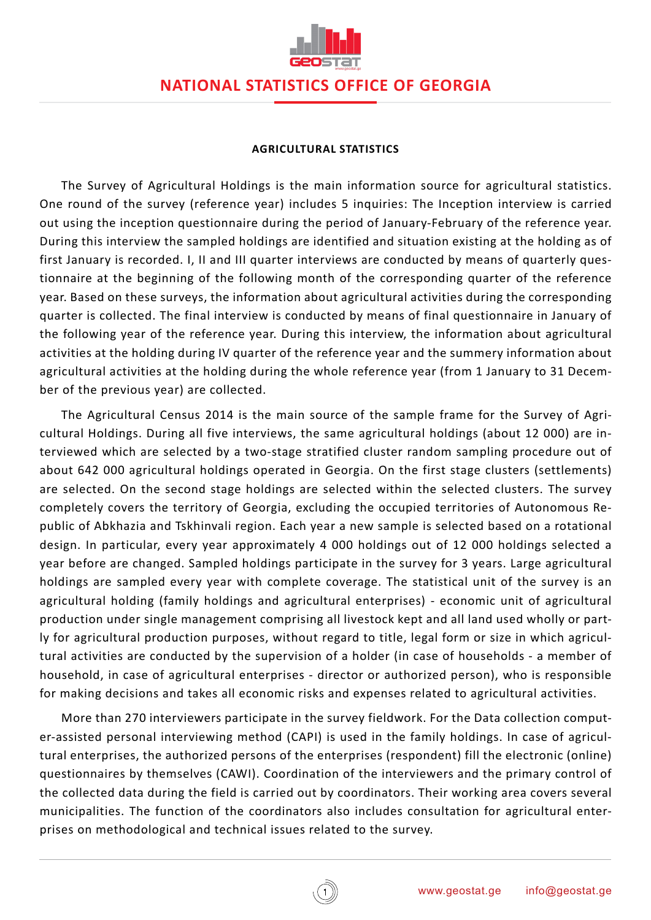

## **NATIONAL STATISTICS OFFICE OF GEORGIA**

#### **AGRICULTURAL STATISTICS**

The Survey of Agricultural Holdings is the main information source for agricultural statistics. One round of the survey (reference year) includes 5 inquiries: The Inception interview is carried out using the inception questionnaire during the period of January-February of the reference year. During this interview the sampled holdings are identified and situation existing at the holding as of first January is recorded. I, II and III quarter interviews are conducted by means of quarterly questionnaire at the beginning of the following month of the corresponding quarter of the reference year. Based on these surveys, the information about agricultural activities during the corresponding quarter is collected. The final interview is conducted by means of final questionnaire in January of the following year of the reference year. During this interview, the information about agricultural activities at the holding during IV quarter of the reference year and the summery information about agricultural activities at the holding during the whole reference year (from 1 January to 31 December of the previous year) are collected.

The Agricultural Census 2014 is the main source of the sample frame for the Survey of Agricultural Holdings. During all five interviews, the same agricultural holdings (about 12 000) are interviewed which are selected by a two-stage stratified cluster random sampling procedure out of about 642 000 agricultural holdings operated in Georgia. On the first stage clusters (settlements) are selected. On the second stage holdings are selected within the selected clusters. The survey completely covers the territory of Georgia, excluding the occupied territories of Autonomous Republic of Abkhazia and Tskhinvali region. Each year a new sample is selected based on a rotational design. In particular, every year approximately 4 000 holdings out of 12 000 holdings selected a year before are changed. Sampled holdings participate in the survey for 3 years. Large agricultural holdings are sampled every year with complete coverage. The statistical unit of the survey is an agricultural holding (family holdings and agricultural enterprises) - economic unit of agricultural production under single management comprising all livestock kept and all land used wholly or partly for agricultural production purposes, without regard to title, legal form or size in which agricultural activities are conducted by the supervision of a holder (in case of households - a member of household, in case of agricultural enterprises - director or authorized person), who is responsible for making decisions and takes all economic risks and expenses related to agricultural activities.

More than 270 interviewers participate in the survey fieldwork. For the Data collection computer-assisted personal interviewing method (CAPI) is used in the family holdings. In case of agricultural enterprises, the authorized persons of the enterprises (respondent) fill the electronic (online) questionnaires by themselves (CAWI). Coordination of the interviewers and the primary control of the collected data during the field is carried out by coordinators. Their working area covers several municipalities. The function of the coordinators also includes consultation for agricultural enterprises on methodological and technical issues related to the survey.

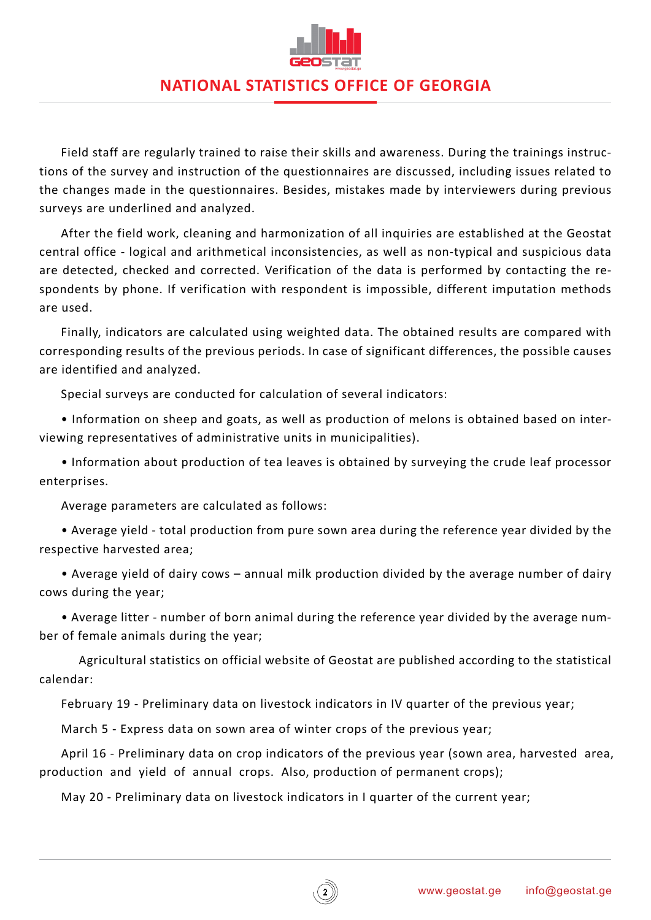

## **NATIONAL STATISTICS OFFICE OF GEORGIA**

Field staff are regularly trained to raise their skills and awareness. During the trainings instructions of the survey and instruction of the questionnaires are discussed, including issues related to the changes made in the questionnaires. Besides, mistakes made by interviewers during previous surveys are underlined and analyzed.

After the field work, cleaning and harmonization of all inquiries are established at the Geostat central office - logical and arithmetical inconsistencies, as well as non-typical and suspicious data are detected, checked and corrected. Verification of the data is performed by contacting the respondents by phone. If verification with respondent is impossible, different imputation methods are used.

Finally, indicators are calculated using weighted data. The obtained results are compared with corresponding results of the previous periods. In case of significant differences, the possible causes are identified and analyzed.

Special surveys are conducted for calculation of several indicators:

• Information on sheep and goats, as well as production of melons is obtained based on interviewing representatives of administrative units in municipalities).

• Information about production of tea leaves is obtained by surveying the crude leaf processor enterprises.

Average parameters are calculated as follows:

• Average yield - total production from pure sown area during the reference year divided by the respective harvested area;

• Average yield of dairy cows – annual milk production divided by the average number of dairy cows during the year;

• Average litter - number of born animal during the reference year divided by the average number of female animals during the year;

Agricultural statistics on official website of Geostat are published according to the statistical calendar:

February 19 - Preliminary data on livestock indicators in IV quarter of the previous year;

March 5 - Express data on sown area of winter crops of the previous year;

April 16 - Preliminary data on crop indicators of the previous year (sown area, harvested area, production and yield of annual crops. Also, production of permanent crops);

May 20 - Preliminary data on livestock indicators in I quarter of the current year;